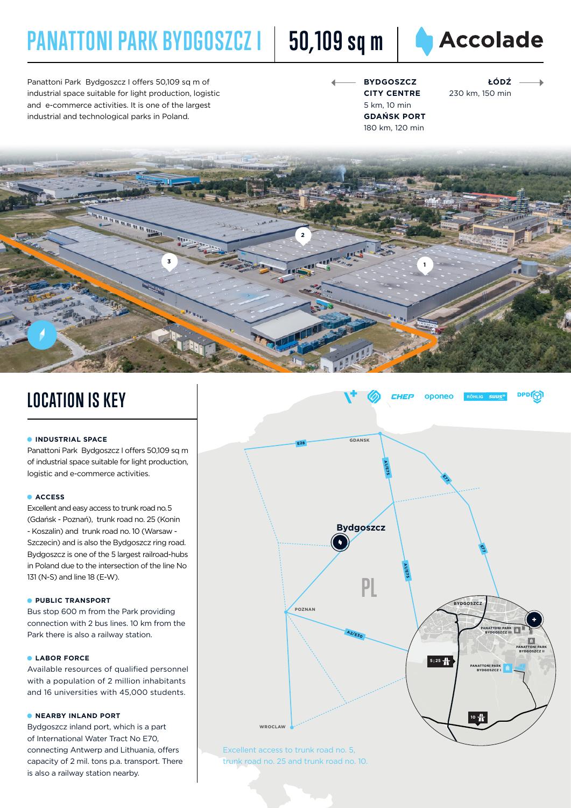# **PANATTONI PARK BYDGOSZCZ I 50,109 sq m**



Panattoni Park Bydgoszcz I offers 50,109 sq m of industrial space suitable for light production, logistic and e-commerce activities. It is one of the largest industrial and technological parks in Poland.

**BYDGOSZCZ CITY CENTRE** 5 km, 10 min **GDAŃSK PORT** 180 km, 120 min

**ŁÓDŹ** 230 km, 150 min



### **LOCATION IS KEY**

### **INDUSTRIAL SPACE**

Panattoni Park Bydgoszcz I offers 50,109 sq m of industrial space suitable for light production, logistic and e-commerce activities.

### **ACCESS**

Excellent and easy access to trunk road no.  5 (Gdańsk - Poznań), trunk road no. 25 (Konin - Koszalin) and trunk road no. 10 (Warsaw - Szczecin) and is also the Bydgoszcz ring road. Bydgoszcz is one of the 5 largest railroad-hubs in Poland due to the intersection of the line No 131 (N-S) and line 18 (E-W).

#### **PUBLIC TRANSPORT**

Bus stop 600 m from the Park providing connection with 2 bus lines. 10 km from the Park there is also a railway station.

### **LABOR FORCE**

Available resources of qualified personnel with a population of 2 million inhabitants and 16 universities with 45,000 students.

#### **• NEARBY INLAND PORT**

Bydgoszcz inland port, which is a part of International Water Tract No E70, connecting Antwerp and Lithuania, offers capacity of 2 mil. tons p.a. transport. There is also a railway station nearby.



trunk road no. 25 and trunk road no. 10.